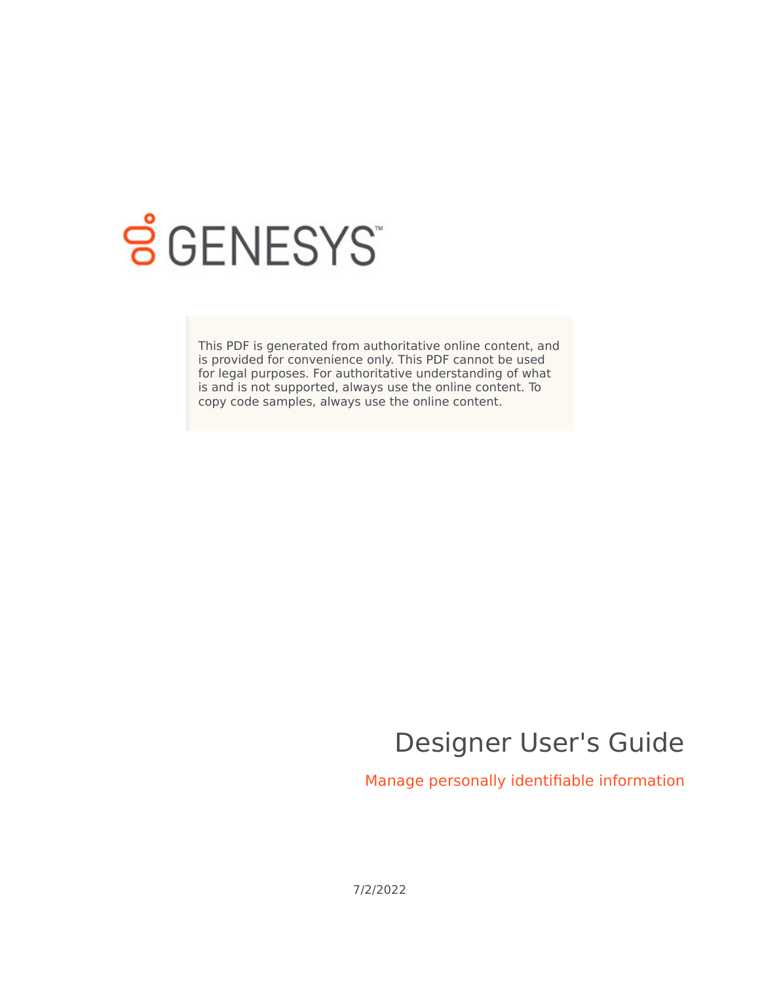

# **SGENESYS**

This PDF is generated from authoritative online content, and is provided for convenience only. This PDF cannot be used for legal purposes. For authoritative understanding of what is and is not supported, always use the online content. To copy code samples, always use the online content.

# Designer User's Guide

Manage personally identifiable information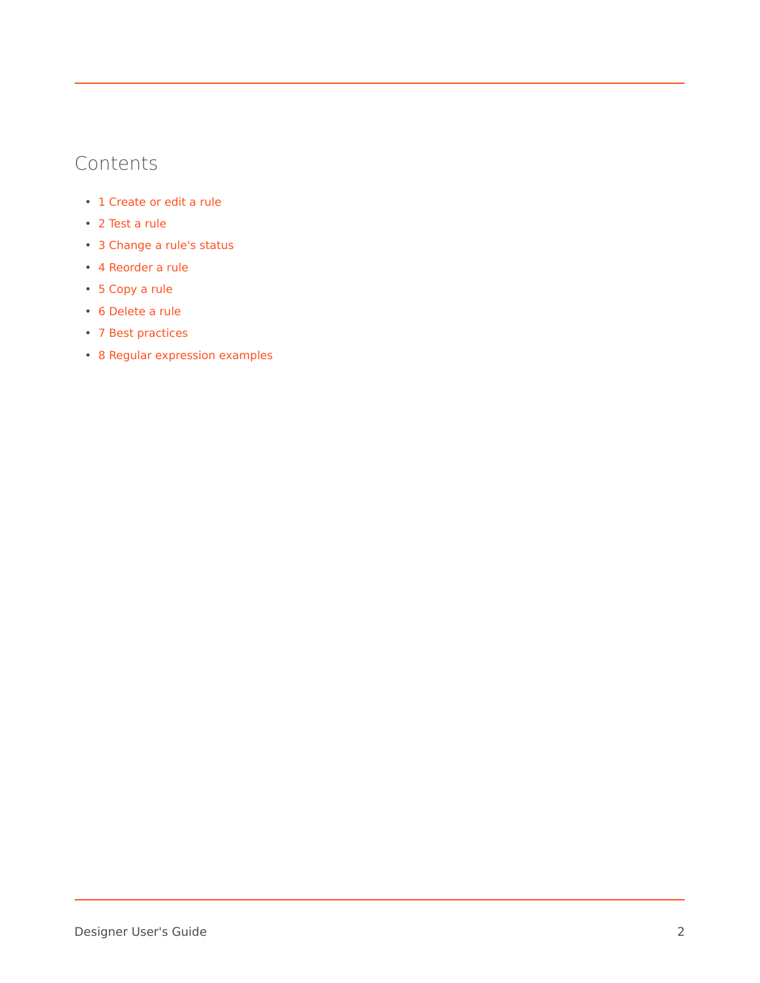# Contents

- 1 [Create or edit a rule](#page-3-0)
- 2 [Test a rule](#page-6-0)
- 3 [Change a rule's status](#page-6-1)
- 4 [Reorder a rule](#page-6-2)
- 5 [Copy a rule](#page-6-3)
- 6 [Delete a rule](#page-6-4)
- 7 [Best practices](#page-7-0)
- 8 [Regular expression examples](#page-7-1)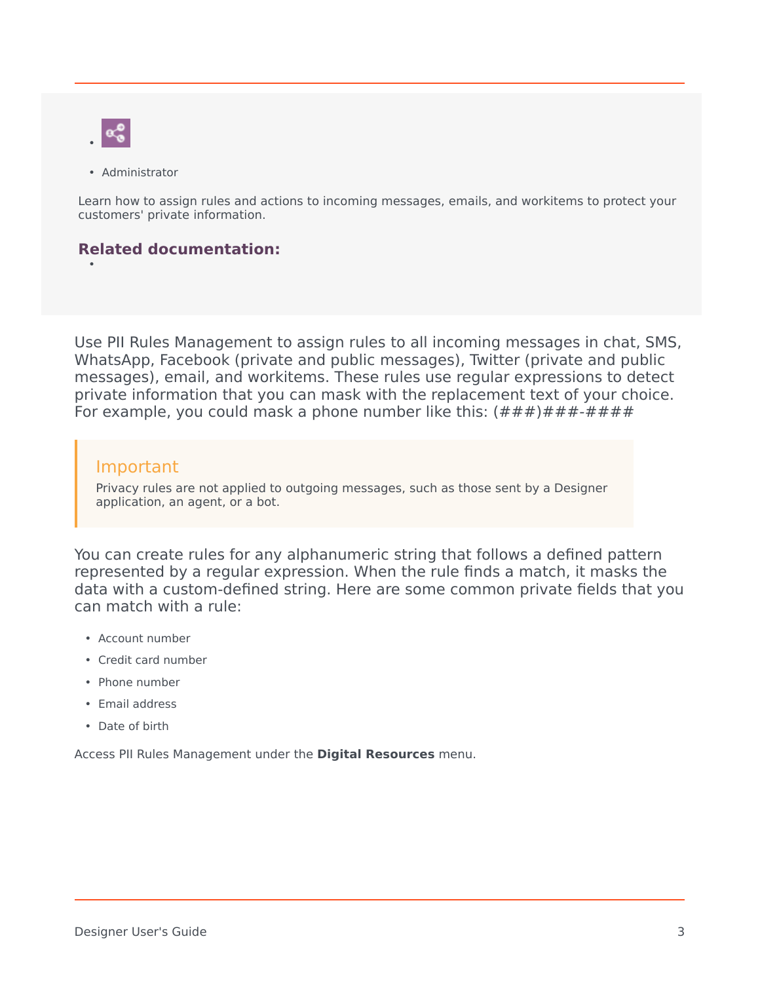

•

• Administrator

Learn how to assign rules and actions to incoming messages, emails, and workitems to protect your customers' private information.

#### **Related documentation:**

Use PII Rules Management to assign rules to all incoming messages in chat, SMS, WhatsApp, Facebook (private and public messages), Twitter (private and public messages), email, and workitems. These rules use regular expressions to detect private information that you can mask with the replacement text of your choice. For example, you could mask a phone number like this:  $(\# \# \#) \# \# \# \# \# \# \#$ 

#### Important

Privacy rules are not applied to outgoing messages, such as those sent by a Designer application, an agent, or a bot.

You can create rules for any alphanumeric string that follows a defined pattern represented by a regular expression. When the rule finds a match, it masks the data with a custom-defined string. Here are some common private fields that you can match with a rule:

- Account number
- Credit card number
- Phone number
- Email address
- Date of birth

Access PII Rules Management under the **Digital Resources** menu.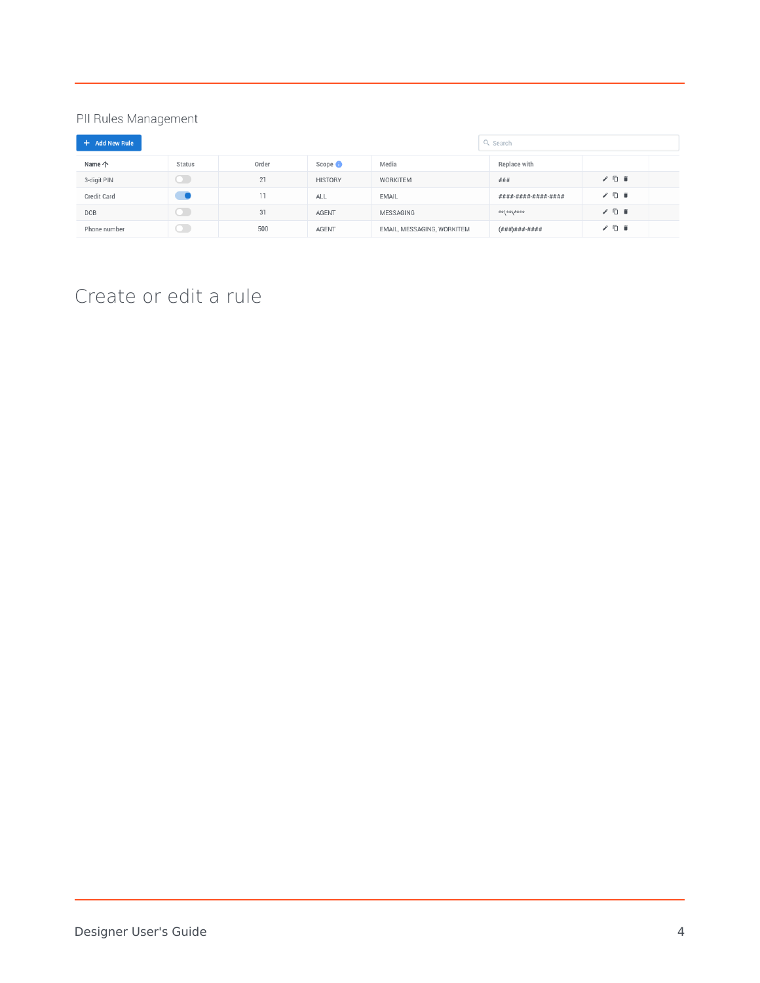#### PII Rules Management

| + Add New Rule |        |       |                    |                            | Q Search                  |       |
|----------------|--------|-------|--------------------|----------------------------|---------------------------|-------|
| Name 个         | Status | Order | Scope <sup>1</sup> | Media                      | Replace with              |       |
| 3-digit PIN    |        | 21    | <b>HISTORY</b>     | WORKITEM                   | ###                       | 7 □ ■ |
| Credit Card    |        | 11    | <b>ALL</b>         | EMAIL                      | ####-####-####-####       | / □ ■ |
| DOB            |        | 31    | AGENT              | MESSAGING                  | ****/****                 | / □ ■ |
| Phone number   | л      | 500   | <b>AGENT</b>       | EMAIL, MESSAGING, WORKITEM | $( # ##) # # # - # # # #$ | / □ ■ |

# <span id="page-3-0"></span>Create or edit a rule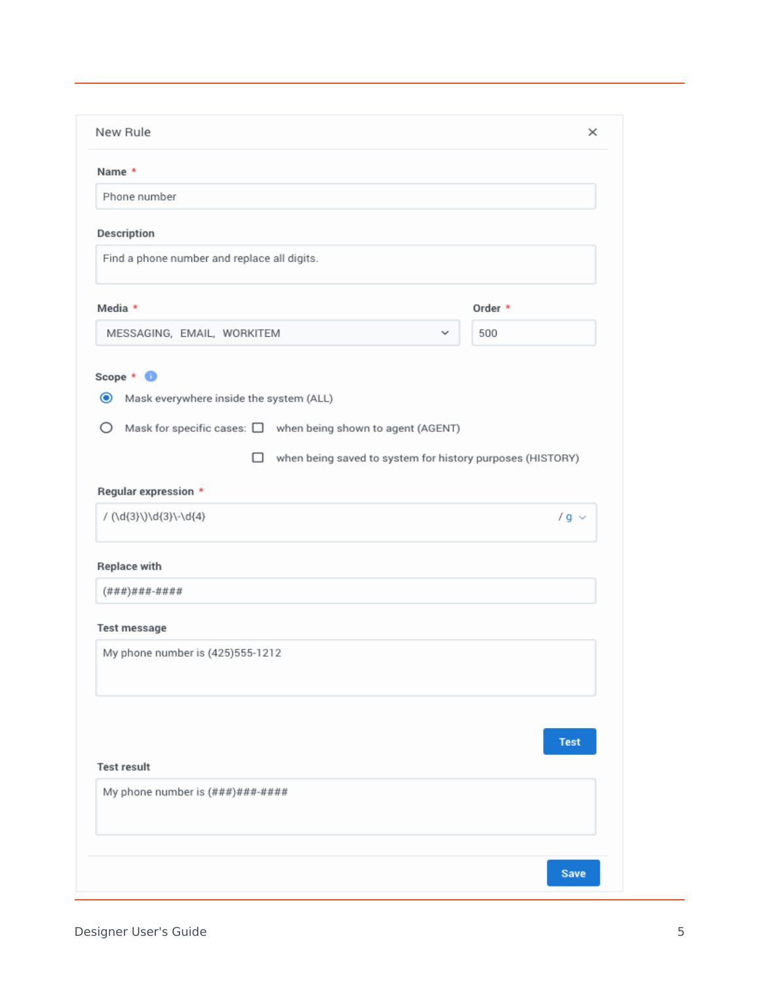| Name *                                                                                                                                                                                              |             |
|-----------------------------------------------------------------------------------------------------------------------------------------------------------------------------------------------------|-------------|
| Phone number                                                                                                                                                                                        |             |
| Description                                                                                                                                                                                         |             |
| Find a phone number and replace all digits.                                                                                                                                                         |             |
| Media *                                                                                                                                                                                             | Order *     |
| MESSAGING, EMAIL, WORKITEM<br>$\checkmark$                                                                                                                                                          | 500         |
| $\bullet$<br>Mask everywhere inside the system (ALL)<br>Ο<br>Mask for specific cases: $\square$ when being shown to agent (AGENT)<br>when being saved to system for history purposes (HISTORY)<br>□ |             |
|                                                                                                                                                                                                     |             |
| Regular expression *                                                                                                                                                                                |             |
| / (\d{3}\)\d{3}\-\d{4}                                                                                                                                                                              | $/g \sim$   |
| <b>Replace with</b>                                                                                                                                                                                 |             |
| $( # # #) # # # + # # # #$                                                                                                                                                                          |             |
| <b>Test message</b>                                                                                                                                                                                 |             |
| My phone number is (425)555-1212                                                                                                                                                                    |             |
|                                                                                                                                                                                                     |             |
| <b>Test result</b>                                                                                                                                                                                  | <b>Test</b> |
| My phone number is $(\# \# \#) \# \# \# \# \# \# \#$                                                                                                                                                |             |
|                                                                                                                                                                                                     |             |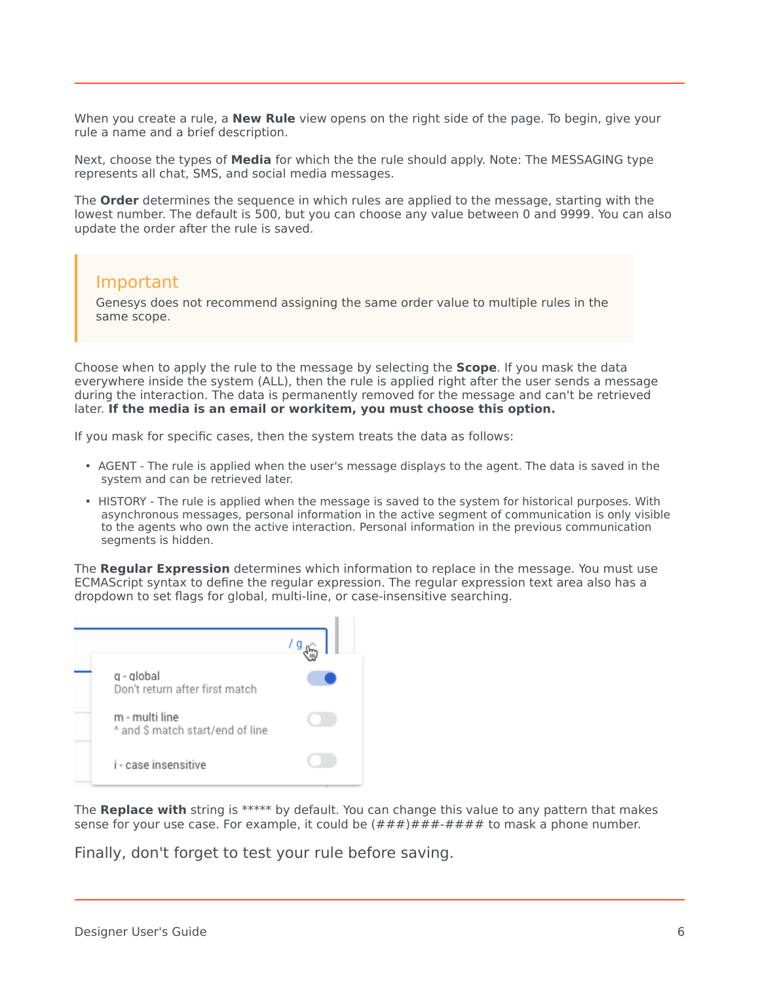When you create a rule, a **New Rule** view opens on the right side of the page. To begin, give your rule a name and a brief description.

Next, choose the types of **Media** for which the the rule should apply. Note: The MESSAGING type represents all chat, SMS, and social media messages.

The **Order** determines the sequence in which rules are applied to the message, starting with the lowest number. The default is 500, but you can choose any value between 0 and 9999. You can also update the order after the rule is saved.

#### Important

Genesys does not recommend assigning the same order value to multiple rules in the same scope.

Choose when to apply the rule to the message by selecting the **Scope**. If you mask the data everywhere inside the system (ALL), then the rule is applied right after the user sends a message during the interaction. The data is permanently removed for the message and can't be retrieved later. **If the media is an email or workitem, you must choose this option.**

If you mask for specific cases, then the system treats the data as follows:

- AGENT The rule is applied when the user's message displays to the agent. The data is saved in the system and can be retrieved later.
- HISTORY The rule is applied when the message is saved to the system for historical purposes. With asynchronous messages, personal information in the active segment of communication is only visible to the agents who own the active interaction. Personal information in the previous communication segments is hidden.

The **Regular Expression** determines which information to replace in the message. You must use ECMAScript syntax to define the regular expression. The regular expression text area also has a dropdown to set flags for global, multi-line, or case-insensitive searching.



The **Replace with** string is \*\*\*\*\* by default. You can change this value to any pattern that makes sense for your use case. For example, it could be  $(\# \# \#) \# \# \# \# \# \# \#$  to mask a phone number.

Finally, don't forget to test your rule before saving.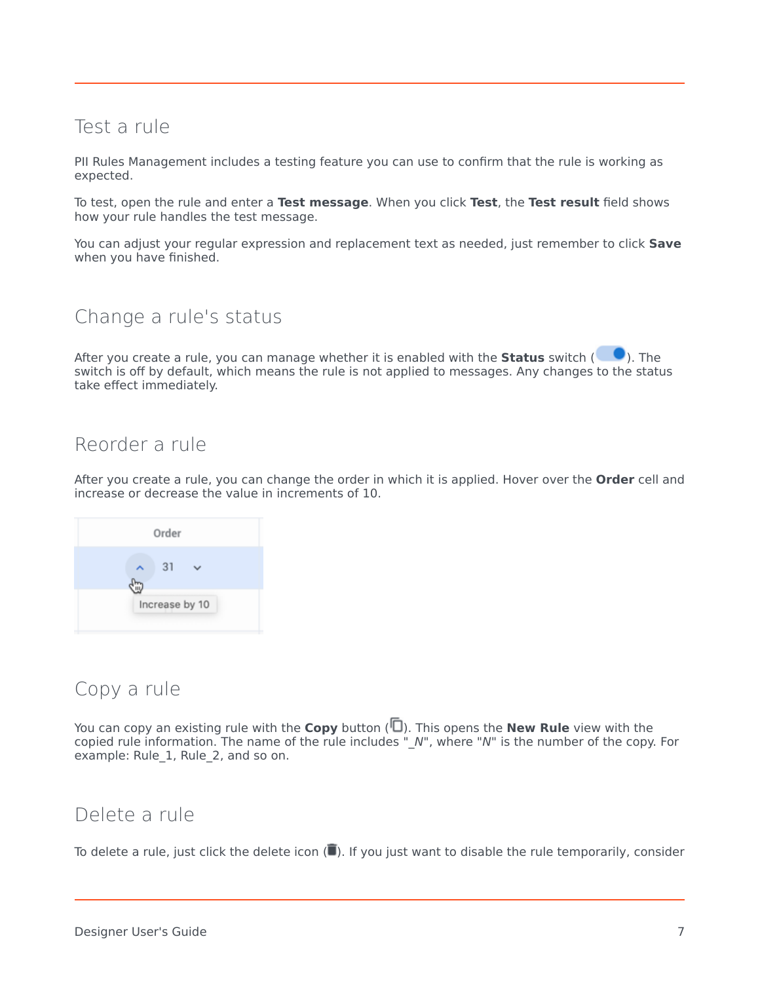# <span id="page-6-0"></span>Test a rule

PII Rules Management includes a testing feature you can use to confirm that the rule is working as expected.

To test, open the rule and enter a **Test message**. When you click **Test**, the **Test result** field shows how your rule handles the test message.

You can adjust your regular expression and replacement text as needed, just remember to click **Save** when you have finished.

## <span id="page-6-1"></span>Change a rule's status

After you create a rule, you can manage whether it is enabled with the **Status** switch (**CO**). The switch is off by default, which means the rule is not applied to messages. Any changes to the status take effect immediately.

### <span id="page-6-2"></span>Reorder a rule

After you create a rule, you can change the order in which it is applied. Hover over the **Order** cell and increase or decrease the value in increments of 10.



#### <span id="page-6-3"></span>Copy a rule

You can copy an existing rule with the **Copy** button ( $\Box$ ). This opens the **New Rule** view with the copied rule information. The name of the rule includes "\_*N*", where "*N*" is the number of the copy. For example: Rule\_1, Rule\_2, and so on.

#### <span id="page-6-4"></span>Delete a rule

To delete a rule, just click the delete icon  $(\blacksquare)$ . If you just want to disable the rule temporarily, consider